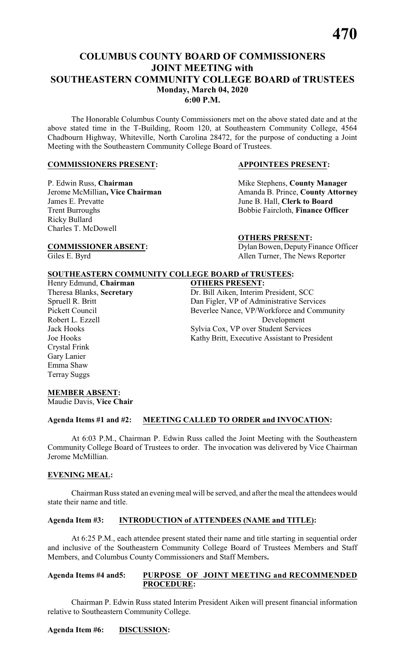## **COLUMBUS COUNTY BOARD OF COMMISSIONERS JOINT MEETING with SOUTHEASTERN COMMUNITY COLLEGE BOARD of TRUSTEES Monday, March 04, 2020 6:00 P.M.**

The Honorable Columbus County Commissioners met on the above stated date and at the above stated time in the T-Building, Room 120, at Southeastern Community College, 4564 Chadbourn Highway, Whiteville, North Carolina 28472, for the purpose of conducting a Joint Meeting with the Southeastern Community College Board of Trustees.

#### **COMMISSIONERS PRESENT: APPOINTEES PRESENT:**

# P. Edwin Russ, **Chairman** Mike Stephens, **County Manager**<br>
Jerome McMillian, Vice Chairman Manager<br>
Amanda B. Prince, **County Attorn** James E. Prevatte June B. Hall, **Clerk to Board** Trent Burroughs Bobbie Faircloth, **Finance Officer** Ricky Bullard Charles T. McDowell

Amanda B. Prince, **County Attorney** 

**OTHERS PRESENT:**

**COMMISSIONER ABSENT:**<br>
Giles E. Byrd<br>
Allen Turner, The News Reporter Allen Turner, The News Reporter

#### **SOUTHEASTERN COMMUNITY COLLEGE BOARD of TRUSTEES:**<br>Henry Edmund, Chairman **OTHERS PRESENT: Henry Edmund, Chairman**

Crystal Frink Gary Lanier Emma Shaw Terray Suggs

Theresa Blanks, **Secretary** Dr. Bill Aiken, Interim President, SCC Spruell R. Britt Dan Figler, VP of Administrative Services Pickett Council Beverlee Nance, VP/Workforce and Community Robert L. Ezzell Development Jack Hooks Sylvia Cox, VP over Student Services Joe Hooks Kathy Britt, Executive Assistant to President

#### **MEMBER ABSENT:**

Maudie Davis, **Vice Chair**

#### **Agenda Items #1 and #2: MEETING CALLED TO ORDER and INVOCATION:**

At 6:03 P.M., Chairman P. Edwin Russ called the Joint Meeting with the Southeastern Community College Board of Trustees to order. The invocation was delivered by Vice Chairman Jerome McMillian.

#### **EVENING MEAL:**

Chairman Russ stated an evening meal will be served, and after the meal the attendees would state their name and title.

#### **Agenda Item #3: INTRODUCTION of ATTENDEES (NAME and TITLE):**

At 6:25 P.M., each attendee present stated their name and title starting in sequential order and inclusive of the Southeastern Community College Board of Trustees Members and Staff Members, and Columbus County Commissioners and Staff Members**.**

#### **Agenda Items #4 and5: PURPOSE OF JOINT MEETING and RECOMMENDED PROCEDURE:**

Chairman P. Edwin Russ stated Interim President Aiken will present financial information relative to Southeastern Community College.

#### **Agenda Item #6: DISCUSSION:**